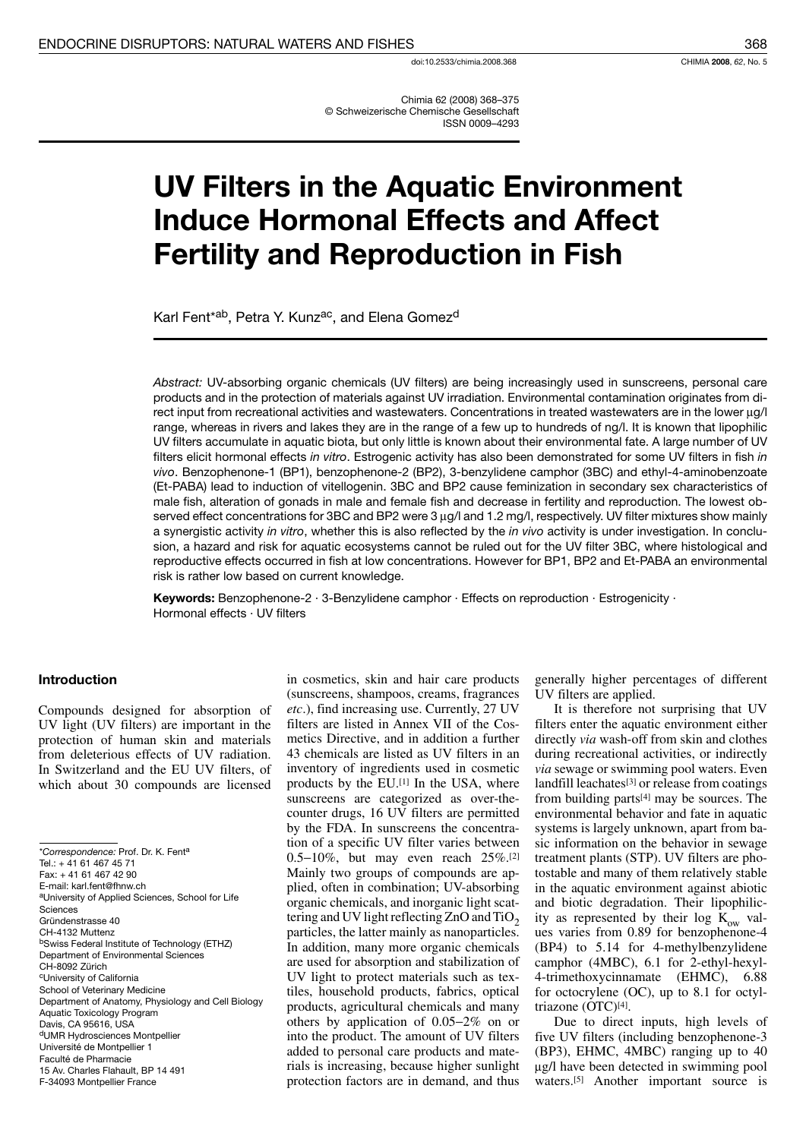Chimia 62 (2008) 368-375 © Schweizerische Chemische Gesellschaft **ISSN 0009-4293** 

# **UV Filters in the Aquatic Environment Induce Hormonal Effects and Affect Fertility and Reproduction in Fish**

Karl Fent<sup>\*ab</sup>, Petra Y. Kunz<sup>ac</sup>, and Elena Gomez<sup>d</sup>

Abstract: UV-absorbing organic chemicals (UV filters) are being increasingly used in sunscreens, personal care products and in the protection of materials against UV irradiation. Environmental contamination originates from direct input from recreational activities and wastewaters. Concentrations in treated wastewaters are in the lower µg/l range, whereas in rivers and lakes they are in the range of a few up to hundreds of ng/l. It is known that lipophilic UV filters accumulate in aquatic biota, but only little is known about their environmental fate. A large number of UV filters elicit hormonal effects in vitro. Estrogenic activity has also been demonstrated for some UV filters in fish in vivo. Benzophenone-1 (BP1), benzophenone-2 (BP2), 3-benzylidene camphor (3BC) and ethyl-4-aminobenzoate (Et-PABA) lead to induction of vitellogenin. 3BC and BP2 cause feminization in secondary sex characteristics of male fish, alteration of gonads in male and female fish and decrease in fertility and reproduction. The lowest observed effect concentrations for 3BC and BP2 were  $3 \mu g/l$  and 1.2 mg/l, respectively. UV filter mixtures show mainly a synergistic activity in vitro, whether this is also reflected by the in vivo activity is under investigation. In conclusion, a hazard and risk for aquatic ecosystems cannot be ruled out for the UV filter 3BC, where histological and reproductive effects occurred in fish at low concentrations. However for BP1, BP2 and Et-PABA an environmental risk is rather low based on current knowledge.

**Keywords:** Benzophenone-2  $\cdot$  3-Benzylidene camphor  $\cdot$  Effects on reproduction  $\cdot$  Estrogenicity  $\cdot$ Hormonal effects · UV filters

## **Introduction**

Compounds designed for absorption of UV light (UV filters) are important in the protection of human skin and materials from deleterious effects of UV radiation. In Switzerland and the EU UV filters, of which about 30 compounds are licensed

\*Correspondence: Prof. Dr. K. Fent<sup>a</sup> Tel.: +41 61 467 45 71 Fax: +41 61 467 42 90 E-mail: karl.fent@fhnw.ch <sup>a</sup>University of Applied Sciences, School for Life Sciences Gründenstrasse 40 CH-4132 Muttenz <sup>b</sup>Swiss Federal Institute of Technology (ETHZ) Department of Environmental Sciences CH-8092 Zürich <sup>c</sup>University of California School of Veterinary Medicine Department of Anatomy, Physiology and Cell Biology Aquatic Toxicology Program Davis, CA 95616, USA dUMR Hydrosciences Montpellier Université de Montpellier 1 Faculté de Pharmacie 15 Av. Charles Flahault, BP 14 491 F-34093 Montpellier France

in cosmetics, skin and hair care products (sunscreens, shampoos, creams, fragrances etc.), find increasing use. Currently, 27 UV filters are listed in Annex VII of the Cosmetics Directive, and in addition a further 43 chemicals are listed as UV filters in an inventory of ingredients used in cosmetic products by the EU.[1] In the USA, where sunscreens are categorized as over-thecounter drugs, 16 UV filters are permitted by the FDA. In sunscreens the concentration of a specific UV filter varies between 0.5-10%, but may even reach  $25\%$ .<sup>[2]</sup> Mainly two groups of compounds are applied, often in combination; UV-absorbing organic chemicals, and inorganic light scattering and UV light reflecting  $ZnO$  and  $TiO<sub>2</sub>$ particles, the latter mainly as nanoparticles. In addition, many more organic chemicals are used for absorption and stabilization of UV light to protect materials such as textiles, household products, fabrics, optical products, agricultural chemicals and many others by application of  $0.05-2\%$  on or into the product. The amount of UV filters added to personal care products and materials is increasing, because higher sunlight protection factors are in demand, and thus

generally higher percentages of different UV filters are applied.

It is therefore not surprising that UV filters enter the aquatic environment either directly via wash-off from skin and clothes during recreational activities, or indirectly via sewage or swimming pool waters. Even landfill leachates<sup>[3]</sup> or release from coatings from building parts<sup>[4]</sup> may be sources. The environmental behavior and fate in aquatic systems is largely unknown, apart from basic information on the behavior in sewage treatment plants (STP). UV filters are photostable and many of them relatively stable in the aquatic environment against abiotic and biotic degradation. Their lipophilicity as represented by their log  $K_{ow}$  values varies from 0.89 for benzophenone-4 (BP4) to 5.14 for 4-methylbenzylidene camphor (4MBC), 6.1 for 2-ethyl-hexyl-4-trimethoxycinnamate (EHMC), 6.88 for octocrylene  $(OC)$ , up to 8.1 for octyltriazone  $(OTC)^{[4]}$ .

Due to direct inputs, high levels of five UV filters (including benzophenone-3 (BP3), EHMC, 4MBC) ranging up to 40 μg/l have been detected in swimming pool waters.<sup>[5]</sup> Another important source is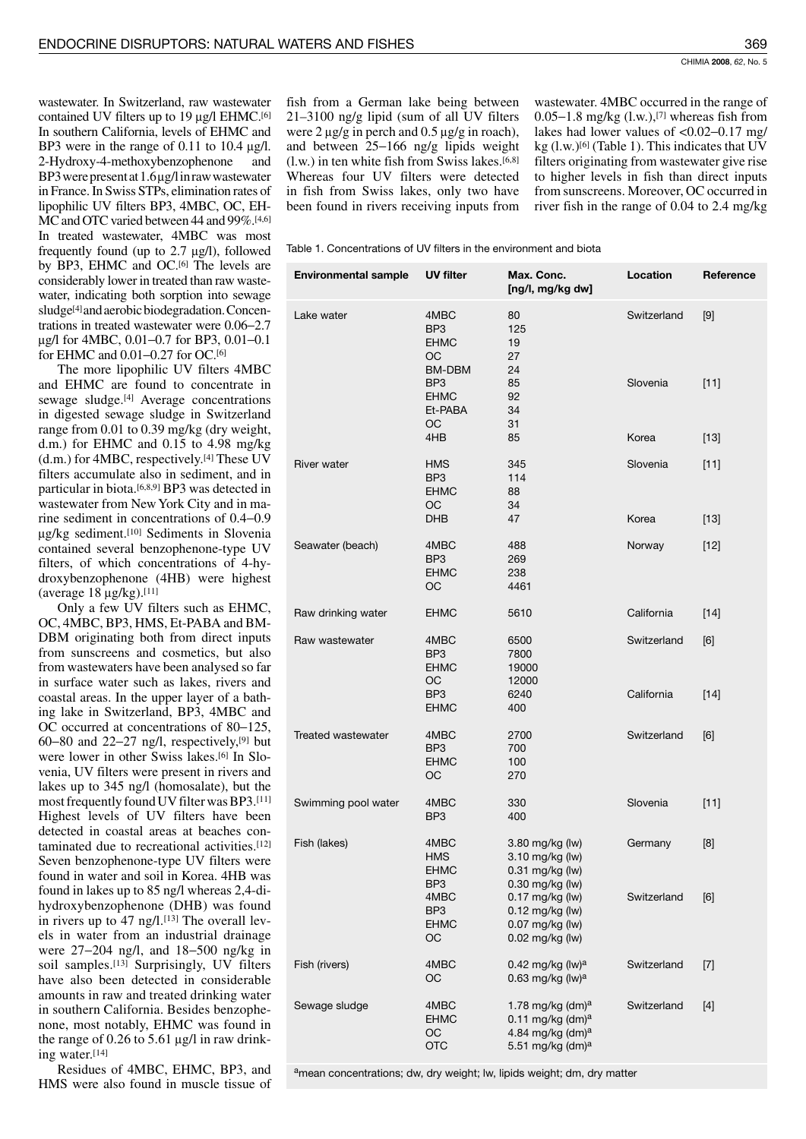wastewater. In Switzerland, raw wastewater contained UV filters up to 19 µg/l EHMC.<sup>[6]</sup> In southern California, levels of EHMC and BP3 were in the range of 0.11 to 10.4  $\mu$ g/l. 2-Hydroxy-4-methoxybenzophenone and BP3 were present at  $1.6 \mu$ g/l in raw was tewater in France. In Swiss STPs, elimination rates of lipophilic UV filters BP3, 4MBC, OC, EH-MC and OTC varied between 44 and 99%.[4,6] In treated wastewater, 4MBC was most frequently found (up to  $2.7 \mu g/l$ ), followed by BP3, EHMC and OC.<sup>[6]</sup> The levels are considerably lower in treated than raw wastewater, indicating both sorption into sewage sludge<sup>[4]</sup> and aerobic biodegradation. Concentrations in treated wastewater were 0.06-2.7 µg/l for 4MBC, 0.01-0.7 for BP3, 0.01-0.1 for EHMC and 0.01-0.27 for OC.[6]

The more lipophilic UV filters 4MBC and EHMC are found to concentrate in sewage sludge.<sup>[4]</sup> Average concentrations in digested sewage sludge in Switzerland range from 0.01 to 0.39 mg/kg (dry weight, d.m.) for EHMC and 0.15 to 4.98 mg/kg (d.m.) for 4MBC, respectively.<sup>[4]</sup> These  $U\bar{V}$ filters accumulate also in sediment, and in particular in biota.<sup>[6,8,9]</sup> BP3 was detected in wastewater from New York City and in marine sediment in concentrations of 0.4–0.9 µg/kg sediment.[10] Sediments in Slovenia contained several benzophenone-type UV filters, of which concentrations of 4-hydroxybenzophenone (4HB) were highest (average  $18 \mu g/kg$ ).<sup>[11]</sup>

Only a few UV filters such as EHMC, OC, 4MBC, BP3, HMS, Et-PABA and BM-DBM originating both from direct inputs from sunscreens and cosmetics, but also from wastewaters have been analysed so far in surface water such as lakes, rivers and coastal areas. In the upper layer of a bathing lake in Switzerland, BP3, 4MBC and OC occurred at concentrations of 80–125, 60–80 and 22–27 ng/l, respectively,  $[9]$  but were lower in other Swiss lakes.<sup>[6]</sup> In Slovenia, UV filters were present in rivers and lakes up to 345 ng/l (homosalate), but the most frequently found UV filter was BP3.[11] Highest levels of UV filters have been detected in coastal areas at beaches contaminated due to recreational activities.<sup>[12]</sup> Seven benzophenone-type UV filters were found in water and soil in Korea. 4HB was found in lakes up to 85 ng/l whereas 2,4-dihydroxybenzophenone (DHB) was found in rivers up to 47 ng/l.<sup>[13]</sup> The overall levels in water from an industrial drainage were  $27-204$  ng/l, and  $18-500$  ng/kg in soil samples.<sup>[13]</sup> Surprisingly, UV filters have also been detected in considerable amounts in raw and treated drinking water in southern California. Besides benzophenone, most notably, EHMC was found in the range of 0.26 to 5.61  $\mu$ g/l in raw drinking water.[14]

Residues of 4MBC, EHMC, BP3, and HMS were also found in muscle tissue of

fish from a German lake being between  $21-3100$  ng/g lipid (sum of all UV filters were  $2 \mu g/g$  in perch and 0.5  $\mu g/g$  in roach), and between  $25-166$  ng/g lipids weight  $(l.w.)$  in ten white fish from Swiss lakes.<sup>[6,8]</sup> Whereas four UV filters were detected in fish from Swiss lakes, only two have been found in rivers receiving inputs from wastewater. 4MBC occurred in the range of  $0.05-1.8$  mg/kg  $(l.w.)$ , <sup>[7]</sup> whereas fish from lakes had lower values of  $< 0.02 - 0.17$  mg/ kg  $(l.w.)$ <sup>[6]</sup> (Table 1). This indicates that UV filters originating from wastewater give rise to higher levels in fish than direct inputs from sunscreens. Moreover, OC occurred in river fish in the range of  $0.04$  to  $2.4$  mg/kg

Table 1. Concentrations of UV filters in the environment and biota

| <b>Environmental sample</b> | <b>UV filter</b>                                       | Max. Conc.<br>[ng/l, mg/kg dw]                                                                                        | Location    | Reference |
|-----------------------------|--------------------------------------------------------|-----------------------------------------------------------------------------------------------------------------------|-------------|-----------|
| Lake water                  | 4MBC<br>BP <sub>3</sub><br><b>EHMC</b><br>OС<br>BM-DBM | 80<br>125<br>19<br>27<br>24                                                                                           | Switzerland | $[9]$     |
|                             | BP <sub>3</sub><br><b>EHMC</b><br>Et-PABA<br>OС        | 85<br>92<br>34<br>31                                                                                                  | Slovenia    | $[11]$    |
|                             | 4HB                                                    | 85                                                                                                                    | Korea       | $[13]$    |
| <b>River water</b>          | <b>HMS</b><br>BP <sub>3</sub><br><b>EHMC</b><br>OС     | 345<br>114<br>88<br>34                                                                                                | Slovenia    | $[11]$    |
|                             | DHB                                                    | 47                                                                                                                    | Korea       | $[13]$    |
| Seawater (beach)            | 4MBC<br>BP <sub>3</sub><br><b>EHMC</b><br>OС           | 488<br>269<br>238<br>4461                                                                                             | Norway      | $[12]$    |
| Raw drinking water          | <b>EHMC</b>                                            | 5610                                                                                                                  | California  | $[14]$    |
| Raw wastewater              | 4MBC<br>BP <sub>3</sub><br><b>EHMC</b><br>ОC           | 6500<br>7800<br>19000<br>12000                                                                                        | Switzerland | [6]       |
|                             | BP <sub>3</sub><br><b>EHMC</b>                         | 6240<br>400                                                                                                           | California  | $[14]$    |
| Treated wastewater          | 4MBC<br>BP <sub>3</sub><br><b>EHMC</b><br>OC           | 2700<br>700<br>100<br>270                                                                                             | Switzerland | [6]       |
| Swimming pool water         | 4MBC<br>BP <sub>3</sub>                                | 330<br>400                                                                                                            | Slovenia    | $[11]$    |
| Fish (lakes)                | 4MBC<br><b>HMS</b><br><b>EHMC</b><br>BP3               | 3.80 mg/kg (lw)<br>3.10 mg/kg (lw)<br>0.31 mg/kg (lw)<br>0.30 mg/kg (lw)                                              | Germany     | [8]       |
|                             | 4MBC<br>BP <sub>3</sub><br><b>EHMC</b><br>OC           | 0.17 mg/kg (lw)<br>$0.12$ mg/kg (lw)<br>0.07 mg/kg (lw)<br>$0.02$ mg/kg (lw)                                          | Switzerland | [6]       |
| Fish (rivers)               | 4MBC<br>OC                                             | 0.42 mg/kg $(lw)^a$<br>0.63 mg/kg $(lw)^a$                                                                            | Switzerland | $[7]$     |
| Sewage sludge               | 4MBC<br><b>EHMC</b><br>ОC<br><b>OTC</b>                | 1.78 mg/kg (dm) $a$<br>$0.11$ mg/kg (dm) <sup>a</sup><br>4.84 mg/kg (dm) <sup>a</sup><br>5.51 mg/kg (dm) <sup>a</sup> | Switzerland | $[4]$     |

amean concentrations; dw, dry weight; lw, lipids weight; dm, dry matter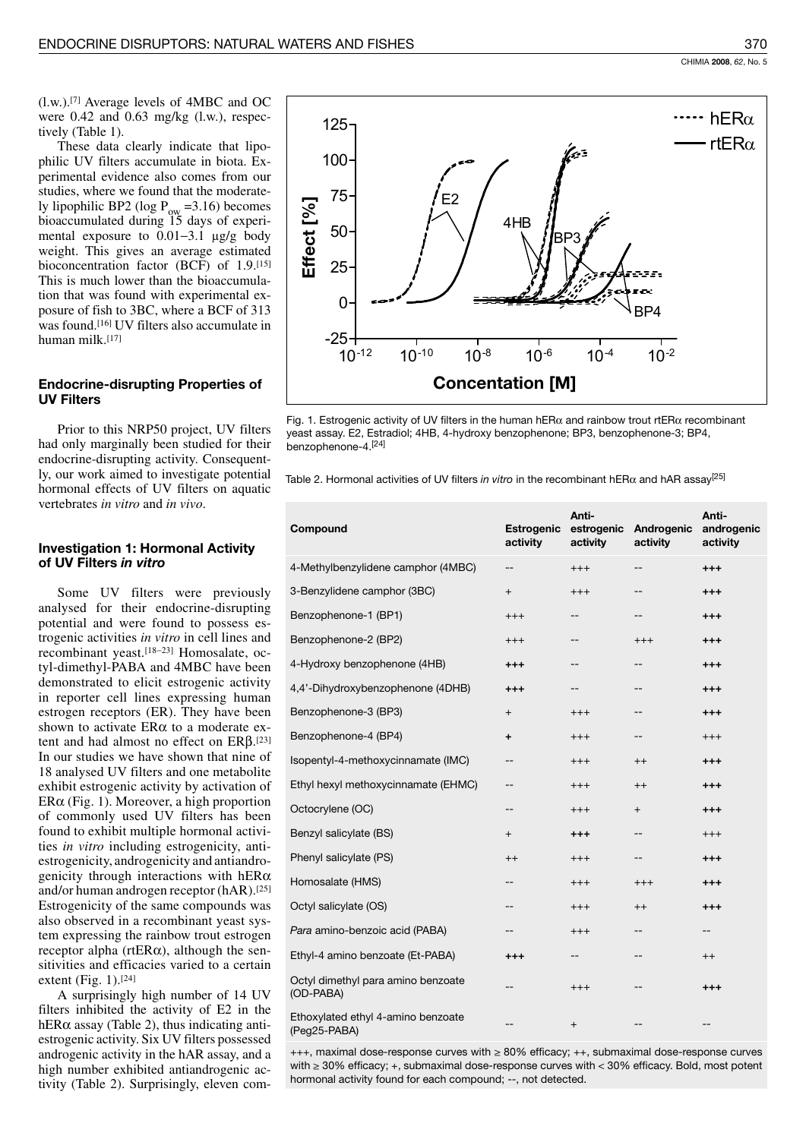These data clearly indicate that lipophilic UV filters accumulate in biota. Experimental evidence also comes from our studies, where we found that the moderately lipophilic BP2 (log  $P_{\text{ow}}$  =3.16) becomes bioaccumulated during 15 days of experimental exposure to 0.01-3.1 µg/g body weight. This gives an average estimated bioconcentration factor (BCF) of 1.9.[15] This is much lower than the bioaccumulation that was found with experimental exposure of fish to 3BC, where a BCF of 313 was found.[16] UV filters also accumulate in human milk.[17]

# **Endocrine-disrupting Properties of UV Filters**

Prior to this NRP50 project, UV filters had only marginally been studied for their endocrine-disrupting activity. Consequently, our work aimed to investigate potential hormonal effects of UV filters on aquatic vertebrates in vitro and in vivo.

# **Investigation 1: Hormonal Activity** of UV Filters in vitro

Some UV filters were previously analysed for their endocrine-disrupting potential and were found to possess estrogenic activities in vitro in cell lines and recombinant yeast.<sup>[18-23]</sup> Homosalate, octyl-dimethyl-PABA and 4MBC have been demonstrated to elicit estrogenic activity in reporter cell lines expressing human estrogen receptors (ER). They have been shown to activate ERα to a moderate extent and had almost no effect on  $ER\beta$ .<sup>[23]</sup> In our studies we have shown that nine of 18 analysed UV filters and one metabolite exhibit estrogenic activity by activation of  $ER\alpha$  (Fig. 1). Moreover, a high proportion of commonly used UV filters has been found to exhibit multiple hormonal activities in vitro including estrogenicity, antiestrogenicity, androgenicity and antiandrogenicity through interactions with  $hER\alpha$ and/or human androgen receptor (hAR).[25] Estrogenicity of the same compounds was also observed in a recombinant yeast system expressing the rainbow trout estrogen receptor alpha ( $rtER\alpha$ ), although the sensitivities and efficacies varied to a certain extent (Fig. 1). $[24]$ 

A surprisingly high number of 14 UV filters inhibited the activity of E2 in the hER $\alpha$  assay (Table 2), thus indicating antiestrogenic activity. Six UV filters possessed androgenic activity in the hAR assay, and a high number exhibited antiandrogenic activity (Table 2). Surprisingly, eleven com-



Fig. 1. Estrogenic activity of UV filters in the human hER $\alpha$  and rainbow trout rtER $\alpha$  recombinant yeast assay. E2, Estradiol; 4HB, 4-hydroxy benzophenone; BP3, benzophenone-3; BP4, benzophenone-4.<sup>[24]</sup>

Table 2. Hormonal activities of UV filters in vitro in the recombinant hER $\alpha$  and hAR assay<sup>[25]</sup>

| Compound                                           | <b>Estrogenic</b><br>activity | Anti-<br>estrogenic<br>activity | Androgenic<br>activity | Anti-<br>androgenic<br>activity |
|----------------------------------------------------|-------------------------------|---------------------------------|------------------------|---------------------------------|
| 4-Methylbenzylidene camphor (4MBC)                 | --                            | $^{+++}$                        | --                     | $^{++}$                         |
| 3-Benzylidene camphor (3BC)                        | $\overline{+}$                | $^{+++}$                        | --                     | $^{+++}$                        |
| Benzophenone-1 (BP1)                               | $^{+++}$                      | --                              | --                     | $^{++}$                         |
| Benzophenone-2 (BP2)                               | $^{+++}$                      | --                              | $+++$                  | $^{+++}$                        |
| 4-Hydroxy benzophenone (4HB)                       | $^{+++}$                      | --                              | --                     | $^{+++}$                        |
| 4,4'-Dihydroxybenzophenone (4DHB)                  | $^{+++}$                      | --                              | --                     | $^{+++}$                        |
| Benzophenone-3 (BP3)                               | $\overline{+}$                | $^{+++}$                        | --                     | $^{+++}$                        |
| Benzophenone-4 (BP4)                               | $\ddot{}$                     | $^{+++}$                        | --                     | $^{+++}$                        |
| Isopentyl-4-methoxycinnamate (IMC)                 | --                            | $^{+++}$                        | $^{++}$                | $^{+++}$                        |
| Ethyl hexyl methoxycinnamate (EHMC)                | --                            | $^{+++}$                        | $^{++}$                | $^{+++}$                        |
| Octocrylene (OC)                                   |                               | $^{+++}$                        | $\overline{+}$         | $^{+++}$                        |
| Benzyl salicylate (BS)                             | $\overline{+}$                | $^{++}$                         | --                     | $^{+++}$                        |
| Phenyl salicylate (PS)                             | $^{++}$                       | $^{+++}$                        | --                     | $^{+++}$                        |
| Homosalate (HMS)                                   |                               | $^{+++}$                        | $^{+++}$               | $^{+++}$                        |
| Octyl salicylate (OS)                              |                               | $^{+++}$                        | $^{++}$                | $^{+++}$                        |
| Para amino-benzoic acid (PABA)                     |                               | $^{+++}$                        | --                     |                                 |
| Ethyl-4 amino benzoate (Et-PABA)                   | $^{+++}$                      | --                              | --                     | $^{++}$                         |
| Octyl dimethyl para amino benzoate<br>(OD-PABA)    |                               | $^{+++}$                        |                        | $^{+++}$                        |
| Ethoxylated ethyl 4-amino benzoate<br>(Peg25-PABA) | --                            | $+$                             | --                     |                                 |

 $++$ , maximal dose-response curves with  $\geq 80\%$  efficacy;  $++$ , submaximal dose-response curves with  $\geq$  30% efficacy; +, submaximal dose-response curves with < 30% efficacy. Bold, most potent hormonal activity found for each compound; --, not detected.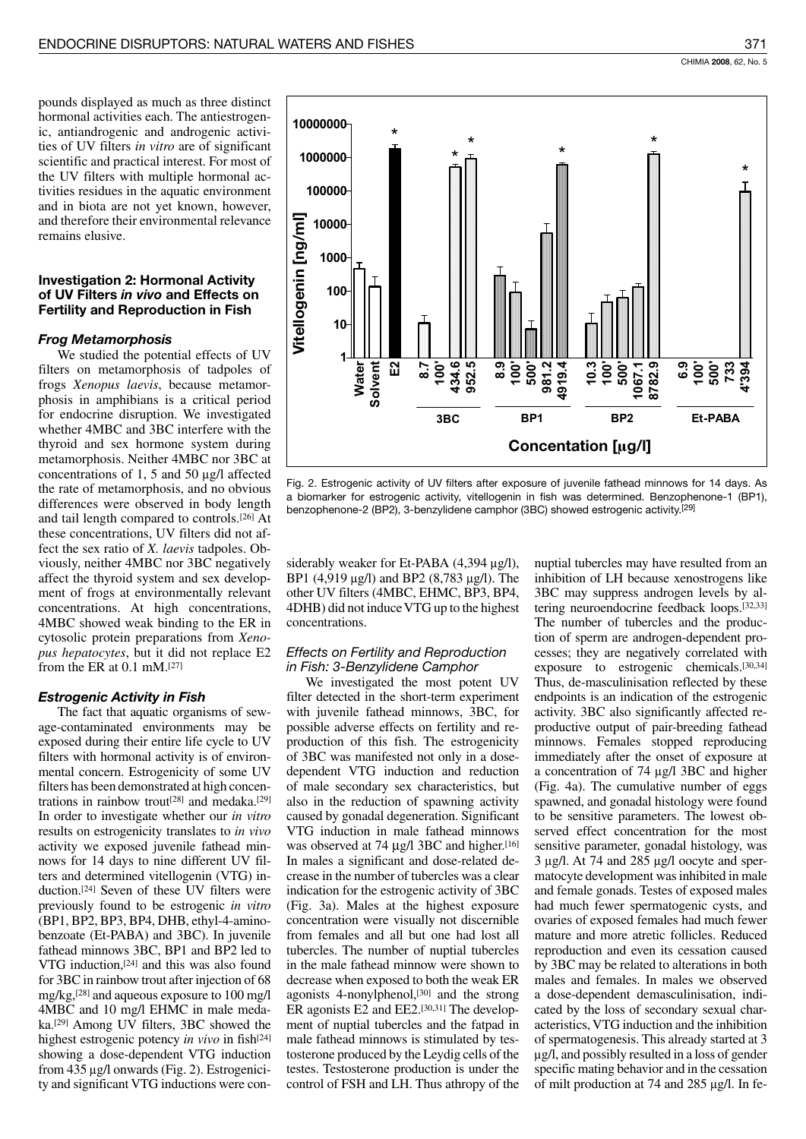pounds displayed as much as three distinct hormonal activities each. The antiestrogenic, antiandrogenic and androgenic activities of UV filters in vitro are of significant scientific and practical interest. For most of the UV filters with multiple hormonal activities residues in the aquatic environment and in biota are not yet known, however, and therefore their environmental relevance remains elusive.

# **Investigation 2: Hormonal Activity** of UV Filters in vivo and Effects on **Fertility and Reproduction in Fish**

#### **Frog Metamorphosis**

We studied the potential effects of UV filters on metamorphosis of tadpoles of frogs Xenopus laevis, because metamorphosis in amphibians is a critical period for endocrine disruption. We investigated whether 4MBC and 3BC interfere with the thyroid and sex hormone system during metamorphosis. Neither 4MBC nor 3BC at concentrations of 1, 5 and 50  $\mu$ g/l affected the rate of metamorphosis, and no obvious differences were observed in body length and tail length compared to controls.<sup>[26]</sup> At these concentrations, UV filters did not affect the sex ratio of X. *laevis* tadpoles. Obviously, neither 4MBC nor 3BC negatively affect the thyroid system and sex development of frogs at environmentally relevant concentrations. At high concentrations, 4MBC showed weak binding to the ER in cytosolic protein preparations from Xenopus hepatocytes, but it did not replace E2 from the ER at  $0.1$  mM.<sup>[27]</sup>

#### **Estrogenic Activity in Fish**

The fact that aquatic organisms of sewage-contaminated environments may be exposed during their entire life cycle to UV filters with hormonal activity is of environmental concern. Estrogenicity of some UV filters has been demonstrated at high concentrations in rainbow trout<sup>[28]</sup> and medaka.<sup>[29]</sup> In order to investigate whether our in vitro results on estrogenicity translates to in vivo activity we exposed juvenile fathead minnows for 14 days to nine different UV filters and determined vitellogenin (VTG) induction.<sup>[24]</sup> Seven of these UV filters were previously found to be estrogenic in vitro (BP1, BP2, BP3, BP4, DHB, ethyl-4-aminobenzoate (Et-PABA) and 3BC). In juvenile fathead minnows 3BC, BP1 and BP2 led to VTG induction,<sup>[24]</sup> and this was also found for 3BC in rainbow trout after injection of 68 mg/kg,<sup>[28]</sup> and aqueous exposure to 100 mg/l 4MBC and 10 mg/l EHMC in male medaka.<sup>[29]</sup> Among UV filters, 3BC showed the highest estrogenic potency in vivo in fish<sup>[24]</sup> showing a dose-dependent VTG induction from 435 µg/l onwards (Fig. 2). Estrogenicity and significant VTG inductions were con-



Fig. 2. Estrogenic activity of UV filters after exposure of juvenile fathead minnows for 14 days. As a biomarker for estrogenic activity, vitellogenin in fish was determined. Benzophenone-1 (BP1), benzophenone-2 (BP2), 3-benzylidene camphor (3BC) showed estrogenic activity.<sup>[29]</sup>

siderably weaker for Et-PABA  $(4,394 \mu g/l)$ , BP1 (4,919 μg/l) and BP2 (8,783 μg/l). The other UV filters (4MBC, EHMC, BP3, BP4, 4DHB) did not induce VTG up to the highest concentrations.

## **Effects on Fertility and Reproduction** in Fish: 3-Benzylidene Camphor

We investigated the most potent UV filter detected in the short-term experiment with juvenile fathead minnows, 3BC, for possible adverse effects on fertility and reproduction of this fish. The estrogenicity of 3BC was manifested not only in a dosedependent VTG induction and reduction of male secondary sex characteristics, but also in the reduction of spawning activity caused by gonadal degeneration. Significant VTG induction in male fathead minnows was observed at 74 µg/l 3BC and higher.<sup>[16]</sup> In males a significant and dose-related decrease in the number of tubercles was a clear indication for the estrogenic activity of 3BC (Fig. 3a). Males at the highest exposure concentration were visually not discernible from females and all but one had lost all tubercles. The number of nuptial tubercles in the male fathead minnow were shown to decrease when exposed to both the weak ER agonists 4-nonylphenol,<sup>[30]</sup> and the strong ER agonists E2 and EE2.[30,31] The development of nuptial tubercles and the fatpad in male fathead minnows is stimulated by testosterone produced by the Leydig cells of the testes. Testosterone production is under the control of FSH and LH. Thus athropy of the

nuptial tubercles may have resulted from an inhibition of LH because xenostrogens like 3BC may suppress androgen levels by altering neuroendocrine feedback loops.[32,33] The number of tubercles and the production of sperm are androgen-dependent processes; they are negatively correlated with exposure to estrogenic chemicals.<sup>[30,34]</sup> Thus, de-masculinisation reflected by these endpoints is an indication of the estrogenic activity. 3BC also significantly affected reproductive output of pair-breeding fathead minnows. Females stopped reproducing immediately after the onset of exposure at a concentration of 74 µg/l 3BC and higher (Fig. 4a). The cumulative number of eggs spawned, and gonadal histology were found to be sensitive parameters. The lowest observed effect concentration for the most sensitive parameter, gonadal histology, was 3 µg/l. At 74 and 285 µg/l oocyte and spermatocyte development was inhibited in male and female gonads. Testes of exposed males had much fewer spermatogenic cysts, and ovaries of exposed females had much fewer mature and more atretic follicles. Reduced reproduction and even its cessation caused by 3BC may be related to alterations in both males and females. In males we observed a dose-dependent demasculinisation, indicated by the loss of secondary sexual characteristics, VTG induction and the inhibition of spermatogenesis. This already started at 3  $\mu$ g/l, and possibly resulted in a loss of gender specific mating behavior and in the cessation of milt production at 74 and 285 µg/l. In fe-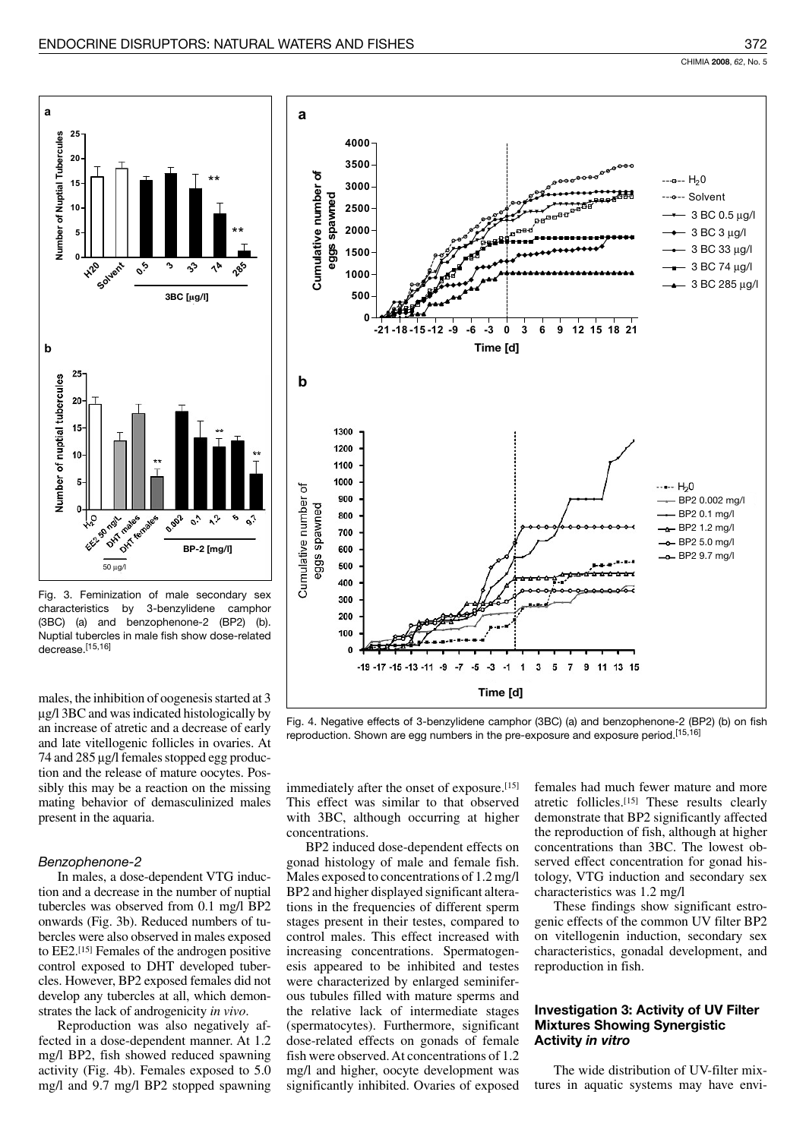

Fig. 3. Feminization of male secondary sex characteristics by 3-benzylidene camphor (3BC) (a) and benzophenone-2 (BP2) (b). Nuptial tubercles in male fish show dose-related decrease.[15,16]

males, the inhibition of oogenesis started at 3 µg/l 3BC and was indicated histologically by an increase of atretic and a decrease of early and late vitellogenic follicles in ovaries. At 74 and 285 µg/l females stopped egg production and the release of mature oocytes. Possibly this may be a reaction on the missing mating behavior of demasculinized males present in the aquaria.

#### Benzophenone-2

In males, a dose-dependent VTG induction and a decrease in the number of nuptial tubercles was observed from 0.1 mg/l BP2 onwards (Fig. 3b). Reduced numbers of tubercles were also observed in males exposed to EE2.<sup>[15]</sup> Females of the androgen positive control exposed to DHT developed tubercles. However, BP2 exposed females did not develop any tubercles at all, which demonstrates the lack of androgenicity in vivo.

Reproduction was also negatively affected in a dose-dependent manner. At 1.2 mg/l BP2, fish showed reduced spawning activity (Fig. 4b). Females exposed to 5.0 mg/l and 9.7 mg/l BP2 stopped spawning



Fig. 4. Negative effects of 3-benzylidene camphor (3BC) (a) and benzophenone-2 (BP2) (b) on fish reproduction. Shown are egg numbers in the pre-exposure and exposure period. [15,16]

immediately after the onset of exposure.[15] This effect was similar to that observed with 3BC, although occurring at higher concentrations.

BP2 induced dose-dependent effects on gonad histology of male and female fish. Males exposed to concentrations of 1.2 mg/l BP2 and higher displayed significant alterations in the frequencies of different sperm stages present in their testes, compared to control males. This effect increased with increasing concentrations. Spermatogenesis appeared to be inhibited and testes were characterized by enlarged seminiferous tubules filled with mature sperms and the relative lack of intermediate stages (spermatocytes). Furthermore, significant dose-related effects on gonads of female fish were observed. At concentrations of 1.2 mg/l and higher, oocyte development was significantly inhibited. Ovaries of exposed females had much fewer mature and more atretic follicles.[15] These results clearly demonstrate that BP2 significantly affected the reproduction of fish, although at higher concentrations than 3BC. The lowest observed effect concentration for gonad histology, VTG induction and secondary sex characteristics was 1.2 mg/l

These findings show significant estrogenic effects of the common UV filter BP2 on vitellogenin induction, secondary sex characteristics, gonadal development, and reproduction in fish.

## **Investigation 3: Activity of UV Filter Mixtures Showing Synergistic** Activity in vitro

The wide distribution of UV-filter mixtures in aquatic systems may have envi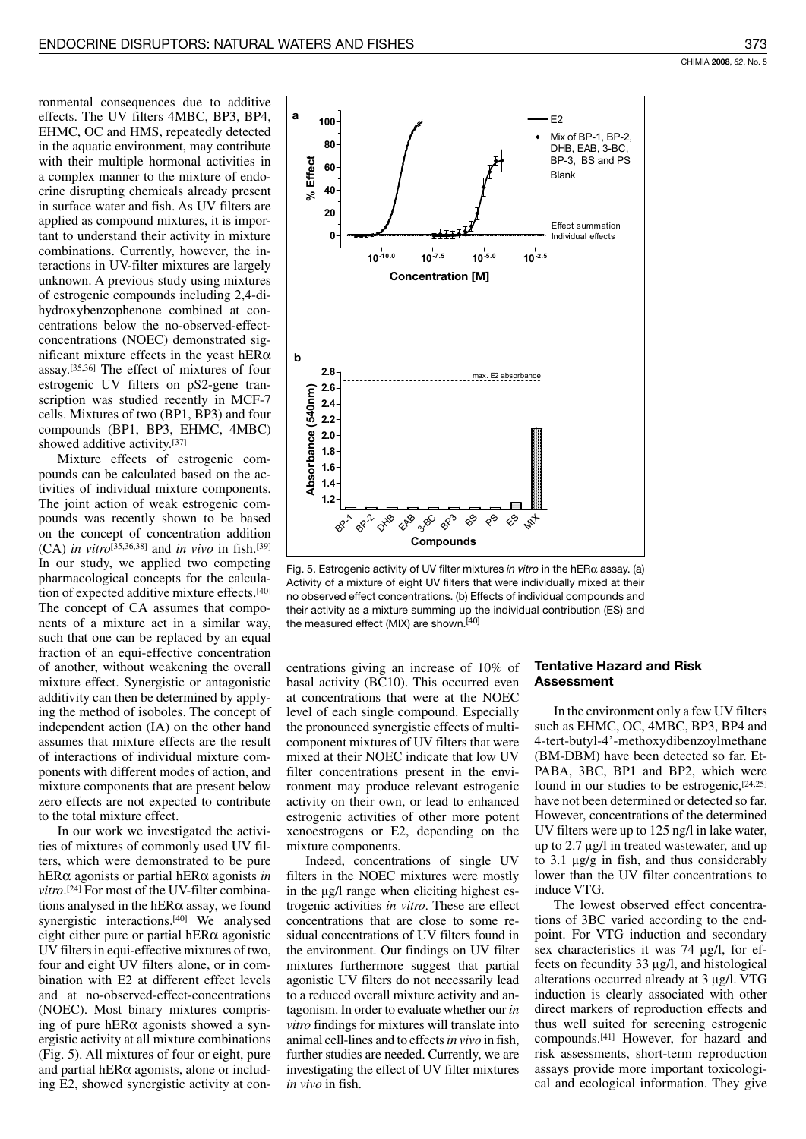ronmental consequences due to additive effects. The UV filters 4MBC, BP3, BP4, EHMC, OC and HMS, repeatedly detected in the aquatic environment, may contribute with their multiple hormonal activities in a complex manner to the mixture of endocrine disrupting chemicals already present in surface water and fish. As UV filters are applied as compound mixtures, it is important to understand their activity in mixture combinations. Currently, however, the interactions in UV-filter mixtures are largely unknown. A previous study using mixtures of estrogenic compounds including 2,4-dihydroxybenzophenone combined at concentrations below the no-observed-effectconcentrations (NOEC) demonstrated significant mixture effects in the yeast hER $\alpha$ assay.<a>[35,36]</a> The effect of mixtures of four estrogenic UV filters on pS2-gene transcription was studied recently in MCF-7 cells. Mixtures of two (BP1, BP3) and four compounds (BP1, BP3, EHMC, 4MBC) showed additive activity.[37]

Mixture effects of estrogenic compounds can be calculated based on the activities of individual mixture components. The joint action of weak estrogenic compounds was recently shown to be based on the concept of concentration addition (CA) in vitro<sup>[35,36,38]</sup> and in vivo in fish.<sup>[39]</sup> In our study, we applied two competing pharmacological concepts for the calculation of expected additive mixture effects.<sup>[40]</sup> The concept of CA assumes that components of a mixture act in a similar way, such that one can be replaced by an equal fraction of an equi-effective concentration of another, without weakening the overall mixture effect. Synergistic or antagonistic additivity can then be determined by applying the method of isoboles. The concept of independent action (IA) on the other hand assumes that mixture effects are the result of interactions of individual mixture components with different modes of action, and mixture components that are present below zero effects are not expected to contribute to the total mixture effect.

In our work we investigated the activities of mixtures of commonly used UV filters, which were demonstrated to be pure hER $\alpha$  agonists or partial hER $\alpha$  agonists in vitro.<sup>[24]</sup> For most of the UV-filter combinations analysed in the hERa assay, we found synergistic interactions.<sup>[40]</sup> We analysed eight either pure or partial hER $\alpha$  agonistic UV filters in equi-effective mixtures of two, four and eight UV filters alone, or in combination with E2 at different effect levels and at no-observed-effect-concentrations (NOEC). Most binary mixtures comprising of pure hER $\alpha$  agonists showed a synergistic activity at all mixture combinations (Fig. 5). All mixtures of four or eight, pure and partial hER $\alpha$  agonists, alone or including E2, showed synergistic activity at con-



Fig. 5. Estrogenic activity of UV filter mixtures in vitro in the hER $\alpha$  assay. (a) Activity of a mixture of eight UV filters that were individually mixed at their no observed effect concentrations. (b) Effects of individual compounds and their activity as a mixture summing up the individual contribution (ES) and the measured effect (MIX) are shown.<sup>[40]</sup>

centrations giving an increase of 10% of basal activity (BC10). This occurred even at concentrations that were at the NOEC level of each single compound. Especially the pronounced synergistic effects of multicomponent mixtures of UV filters that were mixed at their NOEC indicate that low UV filter concentrations present in the environment may produce relevant estrogenic activity on their own, or lead to enhanced estrogenic activities of other more potent xenoestrogens or E2, depending on the mixture components.

Indeed, concentrations of single UV filters in the NOEC mixtures were mostly in the µg/l range when eliciting highest estrogenic activities in vitro. These are effect concentrations that are close to some residual concentrations of UV filters found in the environment. Our findings on UV filter mixtures furthermore suggest that partial agonistic UV filters do not necessarily lead to a reduced overall mixture activity and antagonism. In order to evaluate whether our in *vitro* findings for mixtures will translate into animal cell-lines and to effects in vivo in fish, further studies are needed. Currently, we are investigating the effect of UV filter mixtures in vivo in fish.

# **Tentative Hazard and Risk Assessment**

In the environment only a few UV filters such as EHMC, OC, 4MBC, BP3, BP4 and 4-tert-butyl-4'-methoxydibenzoylmethane (BM-DBM) have been detected so far. Et-PABA, 3BC, BP1 and BP2, which were found in our studies to be estrogenic,  $[24,25]$ have not been determined or detected so far. However, concentrations of the determined UV filters were up to 125 ng/l in lake water, up to  $2.7 \mu g/l$  in treated wastewater, and up to 3.1  $\mu$ g/g in fish, and thus considerably lower than the UV filter concentrations to induce VTG.

The lowest observed effect concentrations of 3BC varied according to the endpoint. For VTG induction and secondary sex characteristics it was 74 µg/l, for effects on fecundity 33 µg/l, and histological alterations occurred already at 3 µg/l. VTG induction is clearly associated with other direct markers of reproduction effects and thus well suited for screening estrogenic compounds.<sup>[41]</sup> However, for hazard and risk assessments, short-term reproduction assays provide more important toxicological and ecological information. They give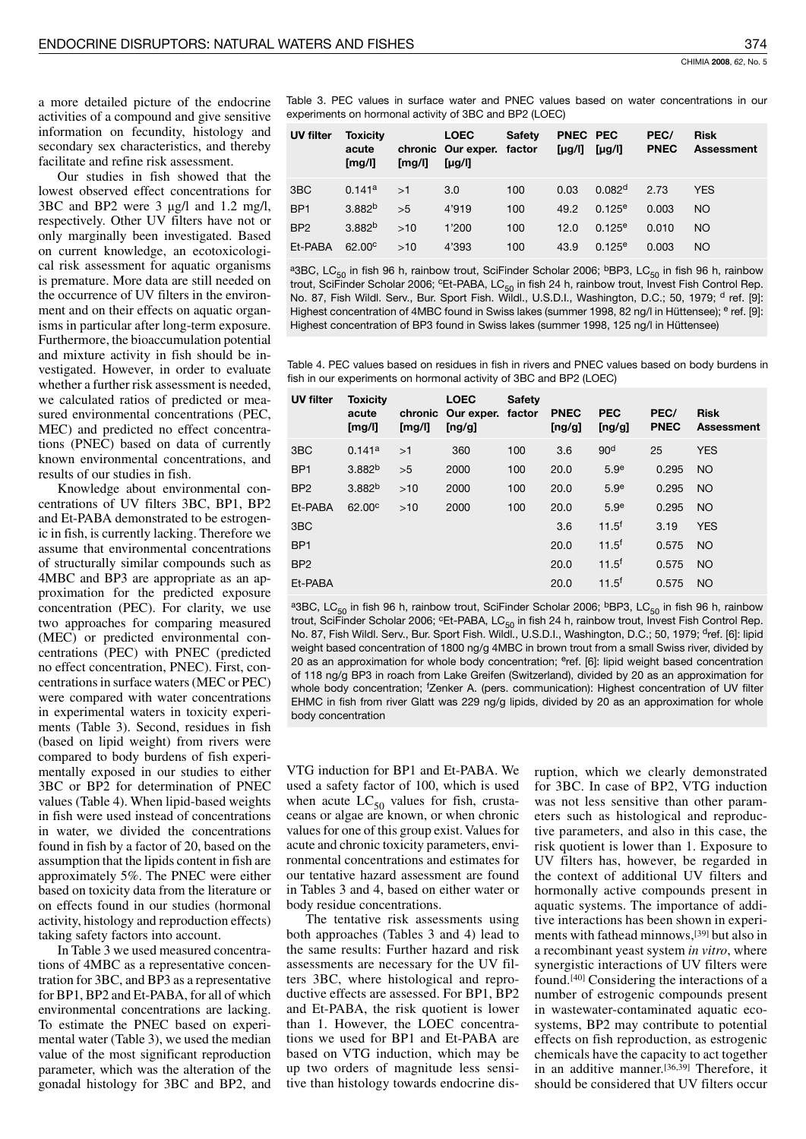a more detailed picture of the endocrine activities of a compound and give sensitive information on fecundity, histology and secondary sex characteristics, and thereby facilitate and refine risk assessment.

Our studies in fish showed that the lowest observed effect concentrations for 3BC and BP2 were 3 µg/l and 1.2 mg/l, respectively. Other UV filters have not or only marginally been investigated. Based on current knowledge, an ecotoxicological risk assessment for aquatic organisms is premature. More data are still needed on the occurrence of UV filters in the environment and on their effects on aquatic organisms in particular after long-term exposure. Furthermore, the bioaccumulation potential and mixture activity in fish should be investigated. However, in order to evaluate whether a further risk assessment is needed, we calculated ratios of predicted or measured environmental concentrations (PEC, MEC) and predicted no effect concentrations (PNEC) based on data of currently known environmental concentrations, and results of our studies in fish.

Knowledge about environmental concentrations of UV filters 3BC, BP1, BP2 and Et-PABA demonstrated to be estrogenic in fish, is currently lacking. Therefore we assume that environmental concentrations of structurally similar compounds such as 4MBC and BP3 are appropriate as an approximation for the predicted exposure concentration (PEC). For clarity, we use two approaches for comparing measured (MEC) or predicted environmental concentrations (PEC) with PNEC (predicted no effect concentration, PNEC). First, concentrations in surface waters (MEC or PEC) were compared with water concentrations in experimental waters in toxicity experiments (Table 3). Second, residues in fish (based on lipid weight) from rivers were compared to body burdens of fish experimentally exposed in our studies to either 3BC or BP2 for determination of PNEC values (Table 4). When lipid-based weights in fish were used instead of concentrations in water, we divided the concentrations found in fish by a factor of 20, based on the assumption that the lipids content in fish are approximately 5%. The PNEC were either based on toxicity data from the literature or on effects found in our studies (hormonal activity, histology and reproduction effects) taking safety factors into account.

In Table 3 we used measured concentrations of 4MBC as a representative concentration for 3BC, and BP3 as a representative for BP1, BP2 and Et-PABA, for all of which environmental concentrations are lacking. To estimate the PNEC based on experimental water (Table 3), we used the median value of the most significant reproduction parameter, which was the alteration of the gonadal histology for 3BC and BP2, and Table 3. PEC values in surface water and PNEC values based on water concentrations in our experiments on hormonal activity of 3BC and BP2 (LOEC)

| <b>UV filter</b> | <b>Toxicity</b><br>acute<br>[mg/l] | [mg/l] | <b>LOEC</b><br>chronic Our exper. factor<br>[ $\mu$ g/l] | <b>Safety</b> | PNEC PEC<br>$[\mu g/I]$ $[\mu g/I]$ |                    | PEC/<br><b>PNEC</b> | <b>Risk</b><br><b>Assessment</b> |
|------------------|------------------------------------|--------|----------------------------------------------------------|---------------|-------------------------------------|--------------------|---------------------|----------------------------------|
| 3 <sub>BC</sub>  | 0.141a                             | >1     | 3.0                                                      | 100           | 0.03                                | 0.082 <sup>d</sup> | 2.73                | <b>YES</b>                       |
| BP <sub>1</sub>  | 3.882 <sup>b</sup>                 | >5     | 4'919                                                    | 100           | 49.2                                | 0.125e             | 0.003               | NO.                              |
| BP <sub>2</sub>  | 3.882 <sup>b</sup>                 | >10    | 1'200                                                    | 100           | 12.0                                | $0.125^e$          | 0.010               | NO.                              |
| Et-PABA          | $62.00^\circ$                      | >10    | 4'393                                                    | 100           | 43.9                                | $0.125^{\circ}$    | 0.003               | NO.                              |

<sup>a</sup>3BC, LC<sub>50</sub> in fish 96 h, rainbow trout, SciFinder Scholar 2006; <sup>b</sup>BP3, LC<sub>50</sub> in fish 96 h, rainbow trout, SciFinder Scholar 2006; <sup>c</sup>Et-PABA, LC<sub>50</sub> in fish 24 h, rainbow trout, Invest Fish Control Rep. No. 87, Fish Wildl. Serv., Bur. Sport Fish. Wildl., U.S.D.I., Washington, D.C.; 50, 1979; d ref. [9]: Highest concentration of 4MBC found in Swiss lakes (summer 1998, 82 ng/l in Hüttensee); <sup>e</sup> ref. [9]: Highest concentration of BP3 found in Swiss lakes (summer 1998, 125 ng/l in Hüttensee)

Table 4. PEC values based on residues in fish in rivers and PNEC values based on body burdens in fish in our experiments on hormonal activity of 3BC and BP2 (LOEC)

| <b>UV filter</b> | <b>Toxicity</b><br>acute<br>[mg/l] | chronic<br>[mg/l] | <b>LOEC</b><br>Our exper. factor<br>[ng/g] | <b>Safety</b> | <b>PNEC</b><br>[ng/g] | <b>PEC</b><br>[ng/g] | PEC/<br><b>PNEC</b> | <b>Risk</b><br><b>Assessment</b> |
|------------------|------------------------------------|-------------------|--------------------------------------------|---------------|-----------------------|----------------------|---------------------|----------------------------------|
| 3 <sub>BC</sub>  | 0.141a                             | >1                | 360                                        | 100           | 3.6                   | 90 <sup>d</sup>      | 25                  | <b>YES</b>                       |
| BP <sub>1</sub>  | 3.882 <sup>b</sup>                 | >5                | 2000                                       | 100           | 20.0                  | 5.9 <sup>e</sup>     | 0.295               | NO                               |
| BP <sub>2</sub>  | 3.882 <sup>b</sup>                 | $>10$             | 2000                                       | 100           | 20.0                  | 5.9 <sup>e</sup>     | 0.295               | <b>NO</b>                        |
| Et-PABA          | 62.00°                             | >10               | 2000                                       | 100           | 20.0                  | 5.9 <sup>e</sup>     | 0.295               | <b>NO</b>                        |
| 3 <sub>BC</sub>  |                                    |                   |                                            |               | 3.6                   | $11.5^{f}$           | 3.19                | <b>YES</b>                       |
| BP <sub>1</sub>  |                                    |                   |                                            |               | 20.0                  | $11.5^f$             | 0.575               | <b>NO</b>                        |
| BP <sub>2</sub>  |                                    |                   |                                            |               | 20.0                  | $11.5^{f}$           | 0.575               | <b>NO</b>                        |
| Et-PABA          |                                    |                   |                                            |               | 20.0                  | $11.5^f$             | 0.575               | <b>NO</b>                        |

<sup>a</sup>3BC, LC<sub>50</sub> in fish 96 h, rainbow trout, SciFinder Scholar 2006; <sup>b</sup>BP3, LC<sub>50</sub> in fish 96 h, rainbow trout, SciFinder Scholar 2006; <sup>c</sup>Et-PABA, LC<sub>50</sub> in fish 24 h, rainbow trout, Invest Fish Control Rep. No. 87, Fish Wildl. Serv., Bur. Sport Fish. Wildl., U.S.D.I., Washington, D.C.; 50, 1979; dref. [6]: lipid weight based concentration of 1800 ng/g 4MBC in brown trout from a small Swiss river, divided by 20 as an approximation for whole body concentration; eref. [6]: lipid weight based concentration of 118 ng/g BP3 in roach from Lake Greifen (Switzerland), divided by 20 as an approximation for whole body concentration; 'Zenker A. (pers. communication): Highest concentration of UV filter EHMC in fish from river Glatt was 229 ng/g lipids, divided by 20 as an approximation for whole body concentration

VTG induction for BP1 and Et-PABA. We used a safety factor of 100, which is used when acute  $LC_{50}$  values for fish, crustaceans or algae are known, or when chronic values for one of this group exist. Values for acute and chronic toxicity parameters, environmental concentrations and estimates for our tentative hazard assessment are found in Tables 3 and 4, based on either water or body residue concentrations.

The tentative risk assessments using both approaches (Tables 3 and 4) lead to the same results: Further hazard and risk assessments are necessary for the UV filters 3BC, where histological and reproductive effects are assessed. For BP1, BP2 and Et-PABA, the risk quotient is lower than 1. However, the LOEC concentrations we used for BP1 and Et-PABA are based on VTG induction, which may be up two orders of magnitude less sensitive than histology towards endocrine dis-

ruption, which we clearly demonstrated for 3BC. In case of BP2, VTG induction was not less sensitive than other parameters such as histological and reproductive parameters, and also in this case, the risk quotient is lower than 1. Exposure to UV filters has, however, be regarded in the context of additional UV filters and hormonally active compounds present in aquatic systems. The importance of additive interactions has been shown in experiments with fathead minnows, [39] but also in a recombinant yeast system in vitro, where synergistic interactions of UV filters were found.<sup>[40]</sup> Considering the interactions of a number of estrogenic compounds present in wastewater-contaminated aquatic ecosystems, BP2 may contribute to potential effects on fish reproduction, as estrogenic chemicals have the capacity to act together in an additive manner.<sup>[36,39]</sup> Therefore, it should be considered that UV filters occur